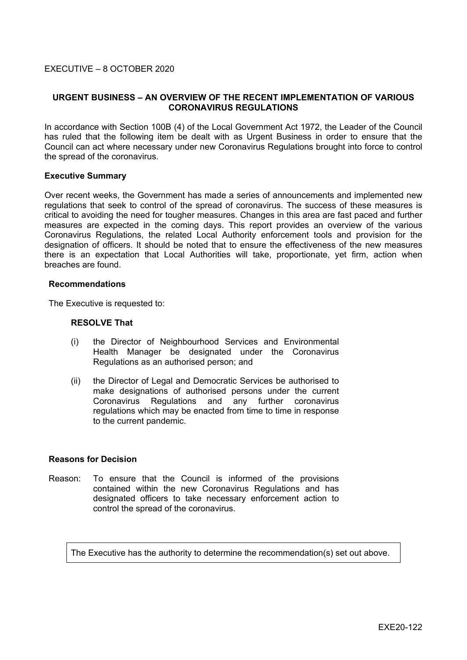# **URGENT BUSINESS – AN OVERVIEW OF THE RECENT IMPLEMENTATION OF VARIOUS CORONAVIRUS REGULATIONS**

In accordance with Section 100B (4) of the Local Government Act 1972, the Leader of the Council has ruled that the following item be dealt with as Urgent Business in order to ensure that the Council can act where necessary under new Coronavirus Regulations brought into force to control the spread of the coronavirus.

#### **Executive Summary**

Over recent weeks, the Government has made a series of announcements and implemented new regulations that seek to control of the spread of coronavirus. The success of these measures is critical to avoiding the need for tougher measures. Changes in this area are fast paced and further measures are expected in the coming days. This report provides an overview of the various Coronavirus Regulations, the related Local Authority enforcement tools and provision for the designation of officers. It should be noted that to ensure the effectiveness of the new measures there is an expectation that Local Authorities will take, proportionate, yet firm, action when breaches are found.

#### **Recommendations**

The Executive is requested to:

### **RESOLVE That**

- (i) the Director of Neighbourhood Services and Environmental Health Manager be designated under the Coronavirus Regulations as an authorised person; and
- (ii) the Director of Legal and Democratic Services be authorised to make designations of authorised persons under the current Coronavirus Regulations and any further coronavirus regulations which may be enacted from time to time in response to the current pandemic.

### **Reasons for Decision**

Reason: To ensure that the Council is informed of the provisions contained within the new Coronavirus Regulations and has designated officers to take necessary enforcement action to control the spread of the coronavirus.

The Executive has the authority to determine the recommendation(s) set out above.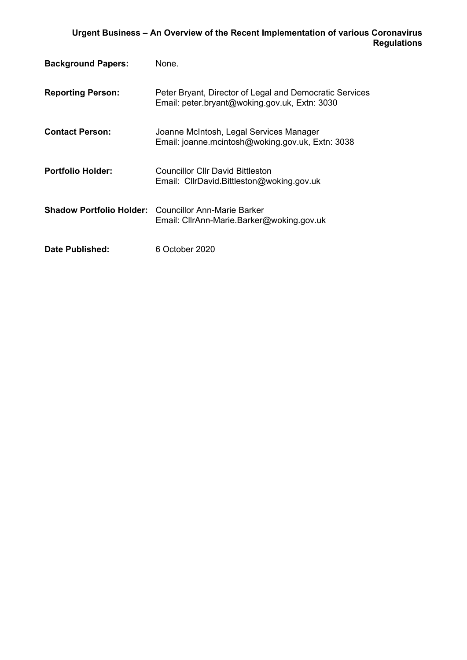| <b>Background Papers:</b> | None.                                                                                                    |
|---------------------------|----------------------------------------------------------------------------------------------------------|
| <b>Reporting Person:</b>  | Peter Bryant, Director of Legal and Democratic Services<br>Email: peter.bryant@woking.gov.uk, Extn: 3030 |
| <b>Contact Person:</b>    | Joanne McIntosh, Legal Services Manager<br>Email: joanne.mcintosh@woking.gov.uk, Extn: 3038              |
| <b>Portfolio Holder:</b>  | Councillor Cllr David Bittleston<br>Email: CllrDavid.Bittleston@woking.gov.uk                            |
|                           | <b>Shadow Portfolio Holder:</b> Councillor Ann-Marie Barker<br>Email: CllrAnn-Marie.Barker@woking.gov.uk |
| Date Published:           | 6 October 2020                                                                                           |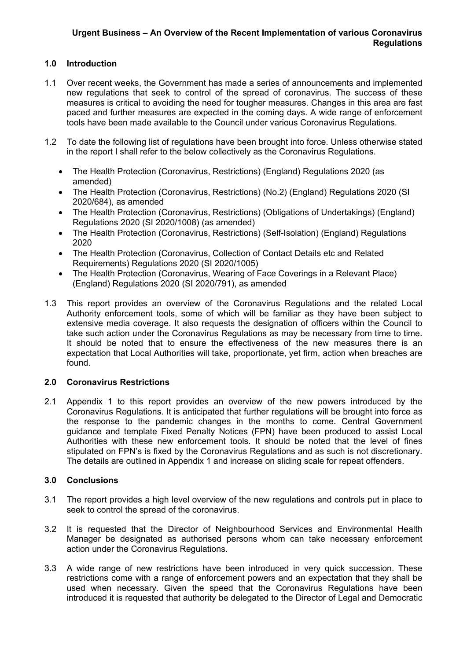# **1.0 Introduction**

- 1.1 Over recent weeks, the Government has made a series of announcements and implemented new regulations that seek to control of the spread of coronavirus. The success of these measures is critical to avoiding the need for tougher measures. Changes in this area are fast paced and further measures are expected in the coming days. A wide range of enforcement tools have been made available to the Council under various Coronavirus Regulations.
- 1.2 To date the following list of regulations have been brought into force. Unless otherwise stated in the report I shall refer to the below collectively as the Coronavirus Regulations.
	- The Health Protection (Coronavirus, Restrictions) (England) Regulations 2020 (as amended)
	- The Health Protection (Coronavirus, Restrictions) (No.2) (England) Regulations 2020 (SI 2020/684), as amended
	- The Health Protection (Coronavirus, Restrictions) (Obligations of Undertakings) (England) Regulations 2020 (SI 2020/1008) (as amended)
	- The Health Protection (Coronavirus, Restrictions) (Self-Isolation) (England) Regulations 2020
	- The Health Protection (Coronavirus, Collection of Contact Details etc and Related Requirements) Regulations 2020 (SI 2020/1005)
	- The Health Protection (Coronavirus, Wearing of Face Coverings in a Relevant Place) (England) Regulations 2020 (SI 2020/791), as amended
- 1.3 This report provides an overview of the Coronavirus Regulations and the related Local Authority enforcement tools, some of which will be familiar as they have been subject to extensive media coverage. It also requests the designation of officers within the Council to take such action under the Coronavirus Regulations as may be necessary from time to time. It should be noted that to ensure the effectiveness of the new measures there is an expectation that Local Authorities will take, proportionate, yet firm, action when breaches are found.

# **2.0 Coronavirus Restrictions**

2.1 Appendix 1 to this report provides an overview of the new powers introduced by the Coronavirus Regulations. It is anticipated that further regulations will be brought into force as the response to the pandemic changes in the months to come. Central Government guidance and template Fixed Penalty Notices (FPN) have been produced to assist Local Authorities with these new enforcement tools. It should be noted that the level of fines stipulated on FPN's is fixed by the Coronavirus Regulations and as such is not discretionary. The details are outlined in Appendix 1 and increase on sliding scale for repeat offenders.

# **3.0 Conclusions**

- 3.1 The report provides a high level overview of the new regulations and controls put in place to seek to control the spread of the coronavirus.
- 3.2 It is requested that the Director of Neighbourhood Services and Environmental Health Manager be designated as authorised persons whom can take necessary enforcement action under the Coronavirus Regulations.
- 3.3 A wide range of new restrictions have been introduced in very quick succession. These restrictions come with a range of enforcement powers and an expectation that they shall be used when necessary. Given the speed that the Coronavirus Regulations have been introduced it is requested that authority be delegated to the Director of Legal and Democratic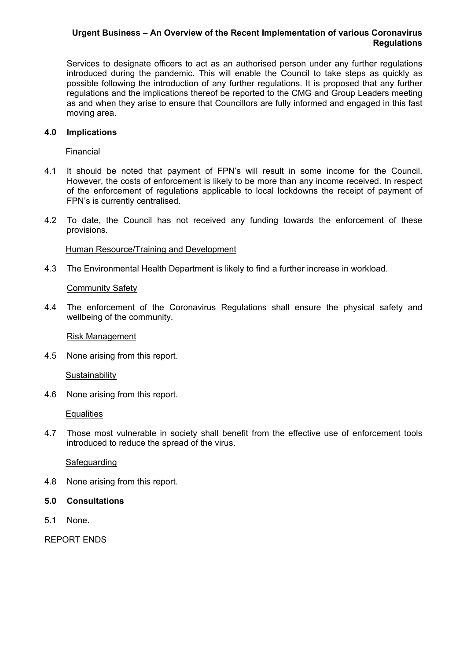Services to designate officers to act as an authorised person under any further regulations introduced during the pandemic. This will enable the Council to take steps as quickly as possible following the introduction of any further regulations. It is proposed that any further regulations and the implications thereof be reported to the CMG and Group Leaders meeting as and when they arise to ensure that Councillors are fully informed and engaged in this fast moving area.

### **4.0 Implications**

Financial

- 4.1 It should be noted that payment of FPN's will result in some income for the Council. However, the costs of enforcement is likely to be more than any income received. In respect of the enforcement of regulations applicable to local lockdowns the receipt of payment of FPN's is currently centralised.
- 4.2 To date, the Council has not received any funding towards the enforcement of these provisions.

### Human Resource/Training and Development

4.3 The Environmental Health Department is likely to find a further increase in workload.

### Community Safety

4.4 The enforcement of the Coronavirus Regulations shall ensure the physical safety and wellbeing of the community.

Risk Management

4.5 None arising from this report.

**Sustainability** 

4.6 None arising from this report.

**Equalities** 

4.7 Those most vulnerable in society shall benefit from the effective use of enforcement tools introduced to reduce the spread of the virus.

#### Safeguarding

- 4.8 None arising from this report.
- **5.0 Consultations**
- 5.1 None.

REPORT ENDS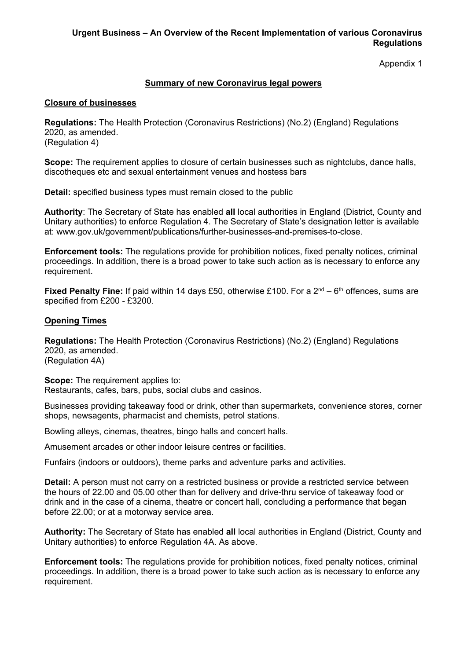Appendix 1

# **Summary of new Coronavirus legal powers**

### **Closure of businesses**

**Regulations:** The Health Protection (Coronavirus Restrictions) (No.2) (England) Regulations 2020, as amended. (Regulation 4)

**Scope:** The requirement applies to closure of certain businesses such as nightclubs, dance halls, discotheques etc and sexual entertainment venues and hostess bars

**Detail:** specified business types must remain closed to the public

**Authority**: The Secretary of State has enabled **all** local authorities in England (District, County and Unitary authorities) to enforce Regulation 4. The Secretary of State's designation letter is available at: www.gov.uk/government/publications/further-businesses-and-premises-to-close.

**Enforcement tools:** The regulations provide for prohibition notices, fixed penalty notices, criminal proceedings. In addition, there is a broad power to take such action as is necessary to enforce any requirement.

**Fixed Penalty Fine:** If paid within 14 days £50, otherwise £100. For a 2<sup>nd</sup> – 6<sup>th</sup> offences, sums are specified from £200 - £3200.

# **Opening Times**

**Regulations:** The Health Protection (Coronavirus Restrictions) (No.2) (England) Regulations 2020, as amended. (Regulation 4A)

**Scope:** The requirement applies to: Restaurants, cafes, bars, pubs, social clubs and casinos.

Businesses providing takeaway food or drink, other than supermarkets, convenience stores, corner shops, newsagents, pharmacist and chemists, petrol stations.

Bowling alleys, cinemas, theatres, bingo halls and concert halls.

Amusement arcades or other indoor leisure centres or facilities.

Funfairs (indoors or outdoors), theme parks and adventure parks and activities.

**Detail:** A person must not carry on a restricted business or provide a restricted service between the hours of 22.00 and 05.00 other than for delivery and drive-thru service of takeaway food or drink and in the case of a cinema, theatre or concert hall, concluding a performance that began before 22.00; or at a motorway service area.

**Authority:** The Secretary of State has enabled **all** local authorities in England (District, County and Unitary authorities) to enforce Regulation 4A. As above.

**Enforcement tools:** The regulations provide for prohibition notices, fixed penalty notices, criminal proceedings. In addition, there is a broad power to take such action as is necessary to enforce any requirement.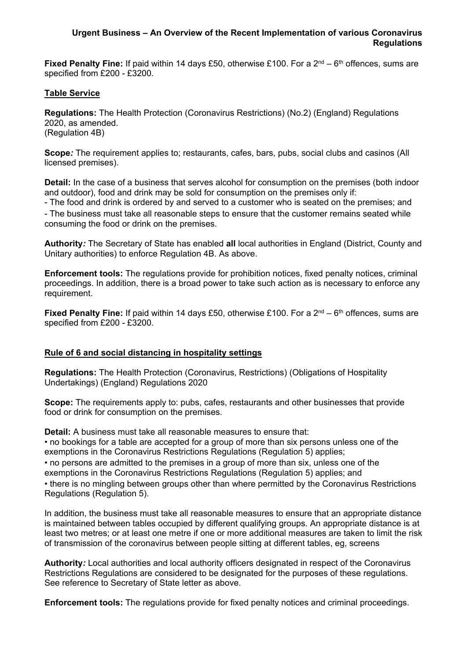**Fixed Penalty Fine:** If paid within 14 days £50, otherwise £100. For a 2<sup>nd</sup> – 6<sup>th</sup> offences, sums are specified from £200 - £3200.

# **Table Service**

**Regulations:** The Health Protection (Coronavirus Restrictions) (No.2) (England) Regulations 2020, as amended. (Regulation 4B)

**Scope***:* The requirement applies to; restaurants, cafes, bars, pubs, social clubs and casinos (All licensed premises).

**Detail:** In the case of a business that serves alcohol for consumption on the premises (both indoor and outdoor), food and drink may be sold for consumption on the premises only if:

- The food and drink is ordered by and served to a customer who is seated on the premises; and - The business must take all reasonable steps to ensure that the customer remains seated while consuming the food or drink on the premises.

**Authority***:* The Secretary of State has enabled **all** local authorities in England (District, County and Unitary authorities) to enforce Regulation 4B. As above.

**Enforcement tools:** The regulations provide for prohibition notices, fixed penalty notices, criminal proceedings. In addition, there is a broad power to take such action as is necessary to enforce any requirement.

**Fixed Penalty Fine:** If paid within 14 days £50, otherwise £100. For a 2<sup>nd</sup> – 6<sup>th</sup> offences, sums are specified from £200 - £3200.

# **Rule of 6 and social distancing in hospitality settings**

**Regulations:** The Health Protection (Coronavirus, Restrictions) (Obligations of Hospitality Undertakings) (England) Regulations 2020

**Scope:** The requirements apply to: pubs, cafes, restaurants and other businesses that provide food or drink for consumption on the premises.

**Detail:** A business must take all reasonable measures to ensure that:

• no bookings for a table are accepted for a group of more than six persons unless one of the exemptions in the Coronavirus Restrictions Regulations (Regulation 5) applies;

• no persons are admitted to the premises in a group of more than six, unless one of the exemptions in the Coronavirus Restrictions Regulations (Regulation 5) applies; and • there is no mingling between groups other than where permitted by the Coronavirus Restrictions Regulations (Regulation 5).

In addition, the business must take all reasonable measures to ensure that an appropriate distance is maintained between tables occupied by different qualifying groups. An appropriate distance is at least two metres; or at least one metre if one or more additional measures are taken to limit the risk of transmission of the coronavirus between people sitting at different tables, eg, screens

**Authority***:* Local authorities and local authority officers designated in respect of the Coronavirus Restrictions Regulations are considered to be designated for the purposes of these regulations. See reference to Secretary of State letter as above.

**Enforcement tools:** The regulations provide for fixed penalty notices and criminal proceedings.